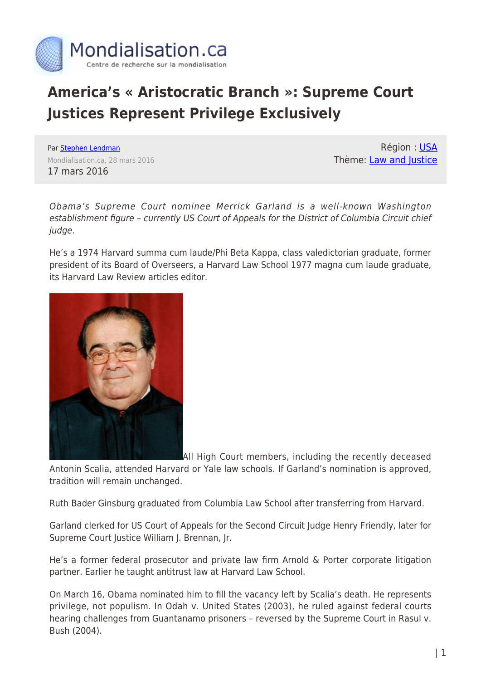

## **America's « Aristocratic Branch »: Supreme Court Justices Represent Privilege Exclusively**

Par [Stephen Lendman](https://www.mondialisation.ca/author/stephen-lendman) Mondialisation.ca, 28 mars 2016 17 mars 2016

Région : [USA](https://www.mondialisation.ca/region/usa) Thème: [Law and Justice](https://www.mondialisation.ca/theme/law-and-justice)

Obama's Supreme Court nominee Merrick Garland is a well-known Washington establishment figure – currently US Court of Appeals for the District of Columbia Circuit chief judge.

He's a 1974 Harvard summa cum laude/Phi Beta Kappa, class valedictorian graduate, former president of its Board of Overseers, a Harvard Law School 1977 magna cum laude graduate, its Harvard Law Review articles editor.



All High Court members, including the recently deceased

Antonin Scalia, attended Harvard or Yale law schools. If Garland's nomination is approved, tradition will remain unchanged.

Ruth Bader Ginsburg graduated from Columbia Law School after transferring from Harvard.

Garland clerked for US Court of Appeals for the Second Circuit Judge Henry Friendly, later for Supreme Court Justice William J. Brennan, Jr.

He's a former federal prosecutor and private law firm Arnold & Porter corporate litigation partner. Earlier he taught antitrust law at Harvard Law School.

On March 16, Obama nominated him to fill the vacancy left by Scalia's death. He represents privilege, not populism. In Odah v. United States (2003), he ruled against federal courts hearing challenges from Guantanamo prisoners – reversed by the Supreme Court in Rasul v. Bush (2004).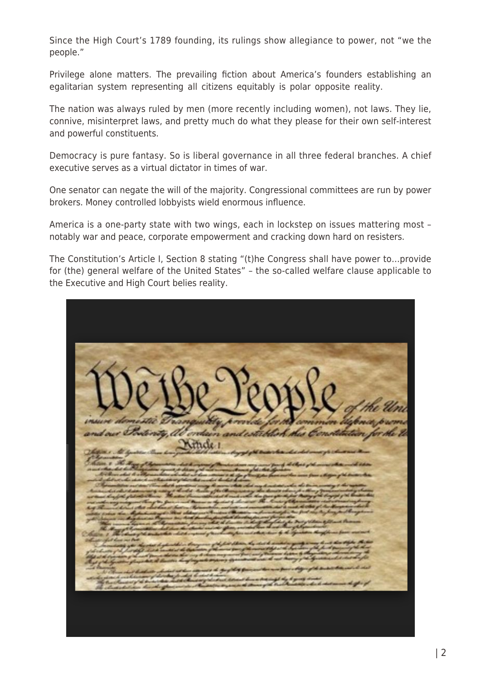Since the High Court's 1789 founding, its rulings show allegiance to power, not "we the people."

Privilege alone matters. The prevailing fiction about America's founders establishing an egalitarian system representing all citizens equitably is polar opposite reality.

The nation was always ruled by men (more recently including women), not laws. They lie, connive, misinterpret laws, and pretty much do what they please for their own self-interest and powerful constituents.

Democracy is pure fantasy. So is liberal governance in all three federal branches. A chief executive serves as a virtual dictator in times of war.

One senator can negate the will of the majority. Congressional committees are run by power brokers. Money controlled lobbyists wield enormous influence.

America is a one-party state with two wings, each in lockstep on issues mattering most – notably war and peace, corporate empowerment and cracking down hard on resisters.

The Constitution's Article I, Section 8 stating "(t)he Congress shall have power to…provide for (the) general welfare of the United States" – the so-called welfare clause applicable to the Executive and High Court belies reality.

| We Be People the Unit                                                                                                                                                                                                                                                                                                                                                                                                                                                                                                                                                                                                                                                                                                                                                                                  |
|--------------------------------------------------------------------------------------------------------------------------------------------------------------------------------------------------------------------------------------------------------------------------------------------------------------------------------------------------------------------------------------------------------------------------------------------------------------------------------------------------------------------------------------------------------------------------------------------------------------------------------------------------------------------------------------------------------------------------------------------------------------------------------------------------------|
| insure demostic Tranquility provide for the common defence promo<br>and our Portenty, at orderen and establish this Constitution for the U<br>2600 - 10 gram de a Mille 1 approvemente de de approxima                                                                                                                                                                                                                                                                                                                                                                                                                                                                                                                                                                                                 |
| of Management<br>The time to the Mage of Agreement in date has grown of the characters and good for the character of the more than well than<br>more than that had the process of the complete state of the complete state of the state of the com<br>- Million shal to a Upraechine at what we have comment to type from the form on the same from a today of the trade that<br>which shall we choose a construction of the the model to date from<br>Charles and the first state of the control of the control of the control of the control of the control of the<br>and the property of the control of the control of the control of the control of the control of the control of<br>half Sammel kirins else charles et han en highwarden und var må minister det å mid, det ha gå ha Ungaran ha h |
| The property of the second control of the company of the company of the company of the company of the company of<br>Mille 1 The American of the conduct that in distribution of the colonitation of the colonitation of the sequence of the colonial colonial colonial colonial colonial colonial colonial colonial colonial colonial colonial col<br>Charles of all hours out Bath<br>of the company of the character of planted in the company of the first defined the second to see the company of the character of the character of the character of the character of the character of the character of the char<br>blyd at the browniam of the mach groups that the their incy of chases away moved finite and of theman in the film of the procedure continuing                                 |
| i haji yi habyentiton ghuasakit, ki kunten hang'ingazik torpon y izaminanti ada da ma kuning yi habyenna ada ina ha fa<br>which is the control to the characteristic at their comments of the global power than an part of the part of the main than main to shall.<br>We have to contribute the global postery to shall be characteristic and the control<br>the track and it of the broad that middle hundred grand strait, heleded brown that impl day to going deviate<br>bly classicalistics his place place and singlement as the superior of strong girl trade makers a deck shall summer the office of                                                                                                                                                                                         |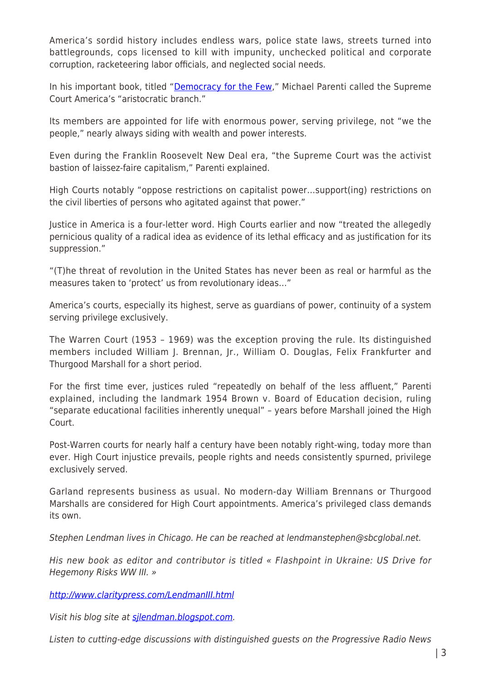America's sordid history includes endless wars, police state laws, streets turned into battlegrounds, cops licensed to kill with impunity, unchecked political and corporate corruption, racketeering labor officials, and neglected social needs.

In his important book, titled "[Democracy for the Few,](http://www.amazon.com/dp/0495007447/?tag=mh0b-20&hvadid=3488502402&hvqmt=b&hvbmt=bb&hvdev=c&ref=pd_sl_4fnpu97pgo_b)" Michael Parenti called the Supreme Court America's "aristocratic branch."

Its members are appointed for life with enormous power, serving privilege, not "we the people," nearly always siding with wealth and power interests.

Even during the Franklin Roosevelt New Deal era, "the Supreme Court was the activist bastion of laissez-faire capitalism," Parenti explained.

High Courts notably "oppose restrictions on capitalist power…support(ing) restrictions on the civil liberties of persons who agitated against that power."

Justice in America is a four-letter word. High Courts earlier and now "treated the allegedly pernicious quality of a radical idea as evidence of its lethal efficacy and as justification for its suppression."

"(T)he threat of revolution in the United States has never been as real or harmful as the measures taken to 'protect' us from revolutionary ideas…"

America's courts, especially its highest, serve as guardians of power, continuity of a system serving privilege exclusively.

The Warren Court (1953 – 1969) was the exception proving the rule. Its distinguished members included William J. Brennan, Jr., William O. Douglas, Felix Frankfurter and Thurgood Marshall for a short period.

For the first time ever, justices ruled "repeatedly on behalf of the less affluent," Parenti explained, including the landmark 1954 Brown v. Board of Education decision, ruling "separate educational facilities inherently unequal" – years before Marshall joined the High Court.

Post-Warren courts for nearly half a century have been notably right-wing, today more than ever. High Court injustice prevails, people rights and needs consistently spurned, privilege exclusively served.

Garland represents business as usual. No modern-day William Brennans or Thurgood Marshalls are considered for High Court appointments. America's privileged class demands its own.

Stephen Lendman lives in Chicago. He can be reached at lendmanstephen@sbcglobal.net.

His new book as editor and contributor is titled « Flashpoint in Ukraine: US Drive for Hegemony Risks WW III. »

<http://www.claritypress.com/LendmanIII.html>

Visit his blog site at [sjlendman.blogspot.com](file:///C:/Users/Debbie-ann%20welch/Downloads/sjlendman.blogspot.com).

Listen to cutting-edge discussions with distinguished guests on the Progressive Radio News